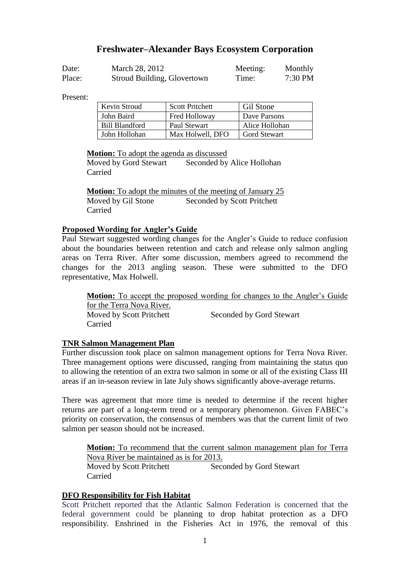## **Freshwater–Alexander Bays Ecosystem Corporation**

| Date:  | March 28, 2012              | Meeting: | Monthly   |
|--------|-----------------------------|----------|-----------|
| Place: | Stroud Building, Glovertown | Time:    | $7:30$ PM |

Present:

| Kevin Stroud          | <b>Scott Pritchett</b> | <b>Gil Stone</b>    |
|-----------------------|------------------------|---------------------|
| John Baird            | Fred Holloway          | Dave Parsons        |
| <b>Bill Blandford</b> | Paul Stewart           | Alice Hollohan      |
| John Hollohan         | Max Holwell, DFO       | <b>Gord Stewart</b> |

**Motion:** To adopt the agenda as discussed

Moved by Gord Stewart Seconded by Alice Hollohan Carried

**Motion:** To adopt the minutes of the meeting of January 25 Moved by Gil Stone Seconded by Scott Pritchett Carried

#### **Proposed Wording for Angler's Guide**

Paul Stewart suggested wording changes for the Angler's Guide to reduce confusion about the boundaries between retention and catch and release only salmon angling areas on Terra River. After some discussion, members agreed to recommend the changes for the 2013 angling season. These were submitted to the DFO representative, Max Holwell.

**Motion:** To accept the proposed wording for changes to the Angler's Guide for the Terra Nova River. Moved by Scott Pritchett Seconded by Gord Stewart Carried

### **TNR Salmon Management Plan**

Further discussion took place on salmon management options for Terra Nova River. Three management options were discussed, ranging from maintaining the status quo to allowing the retention of an extra two salmon in some or all of the existing Class III areas if an in-season review in late July shows significantly above-average returns.

There was agreement that more time is needed to determine if the recent higher returns are part of a long-term trend or a temporary phenomenon. Given FABEC's priority on conservation, the consensus of members was that the current limit of two salmon per season should not be increased.

**Motion:** To recommend that the current salmon management plan for Terra Nova River be maintained as is for 2013. Moved by Scott Pritchett Seconded by Gord Stewart Carried

### **DFO Responsibility for Fish Habitat**

Scott Pritchett reported that the Atlantic Salmon Federation is concerned that the federal government could be planning to drop habitat protection as a DFO responsibility. Enshrined in the Fisheries Act in 1976, the removal of this